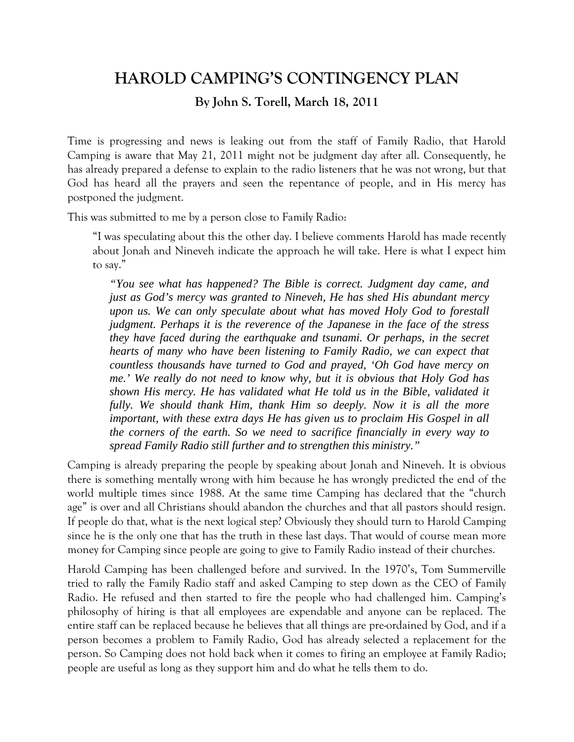## **HAROLD CAMPING'S CONTINGENCY PLAN**

## **By John S. Torell, March 18, 2011**

Time is progressing and news is leaking out from the staff of Family Radio, that Harold Camping is aware that May 21, 2011 might not be judgment day after all. Consequently, he has already prepared a defense to explain to the radio listeners that he was not wrong, but that God has heard all the prayers and seen the repentance of people, and in His mercy has postponed the judgment.

This was submitted to me by a person close to Family Radio:

"I was speculating about this the other day. I believe comments Harold has made recently about Jonah and Nineveh indicate the approach he will take. Here is what I expect him to say."

*"You see what has happened? The Bible is correct. Judgment day came, and just as God's mercy was granted to Nineveh, He has shed His abundant mercy upon us. We can only speculate about what has moved Holy God to forestall judgment. Perhaps it is the reverence of the Japanese in the face of the stress they have faced during the earthquake and tsunami. Or perhaps, in the secret hearts of many who have been listening to Family Radio, we can expect that countless thousands have turned to God and prayed, 'Oh God have mercy on me.' We really do not need to know why, but it is obvious that Holy God has shown His mercy. He has validated what He told us in the Bible, validated it fully. We should thank Him, thank Him so deeply. Now it is all the more important, with these extra days He has given us to proclaim His Gospel in all the corners of the earth. So we need to sacrifice financially in every way to spread Family Radio still further and to strengthen this ministry."*

Camping is already preparing the people by speaking about Jonah and Nineveh. It is obvious there is something mentally wrong with him because he has wrongly predicted the end of the world multiple times since 1988. At the same time Camping has declared that the "church age" is over and all Christians should abandon the churches and that all pastors should resign. If people do that, what is the next logical step? Obviously they should turn to Harold Camping since he is the only one that has the truth in these last days. That would of course mean more money for Camping since people are going to give to Family Radio instead of their churches.

Harold Camping has been challenged before and survived. In the 1970's, Tom Summerville tried to rally the Family Radio staff and asked Camping to step down as the CEO of Family Radio. He refused and then started to fire the people who had challenged him. Camping's philosophy of hiring is that all employees are expendable and anyone can be replaced. The entire staff can be replaced because he believes that all things are pre-ordained by God, and if a person becomes a problem to Family Radio, God has already selected a replacement for the person. So Camping does not hold back when it comes to firing an employee at Family Radio; people are useful as long as they support him and do what he tells them to do.